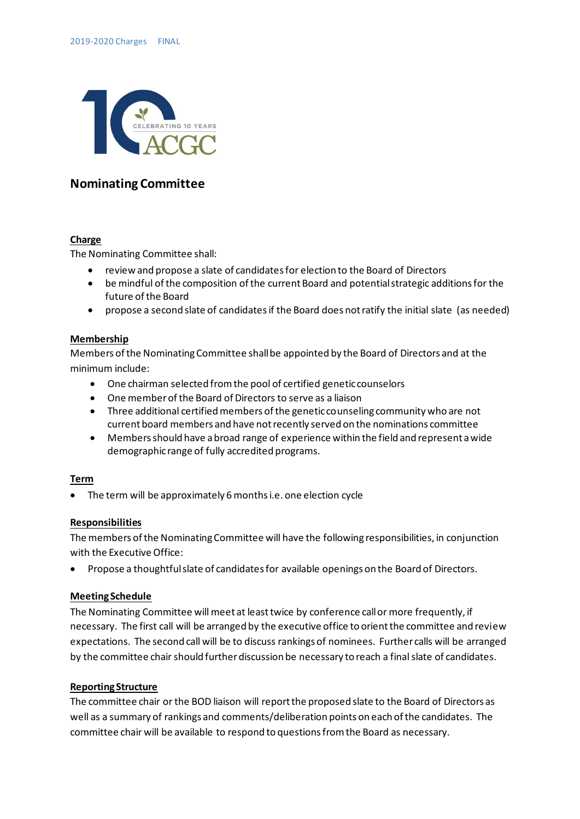

# **Nominating Committee**

### **Charge**

The Nominating Committee shall:

- review and propose a slate of candidates for election to the Board of Directors
- be mindful of the composition of the current Board and potential strategic additions for the future of the Board
- propose a second slate of candidates if the Board does not ratify the initial slate (as needed)

#### **Membership**

Members of the Nominating Committee shall be appointed by the Board of Directors and at the minimum include:

- One chairman selected from the pool of certified genetic counselors
- One member of the Board of Directors to serve as a liaison
- Three additional certified members of the genetic counseling community who are not current board members and have not recently served on the nominations committee
- Members should have a broad range of experience within the field and represent a wide demographic range of fully accredited programs.

### **Term**

• The term will be approximately 6 months i.e. one election cycle

### **Responsibilities**

The members of the Nominating Committee will have the following responsibilities, in conjunction with the Executive Office:

• Propose a thoughtful slate of candidates for available openings on the Board of Directors.

### **Meeting Schedule**

The Nominating Committee will meet at least twice by conference call or more frequently, if necessary. The first call will be arranged by the executive office to orient the committee and review expectations. The second call will be to discuss rankings of nominees. Further calls will be arranged by the committee chair should further discussion be necessary to reach a final slate of candidates.

### **Reporting Structure**

The committee chair or the BOD liaison will report the proposed slate to the Board of Directors as well as a summary of rankings and comments/deliberation points on each of the candidates. The committee chair will be available to respond to questions from the Board as necessary.